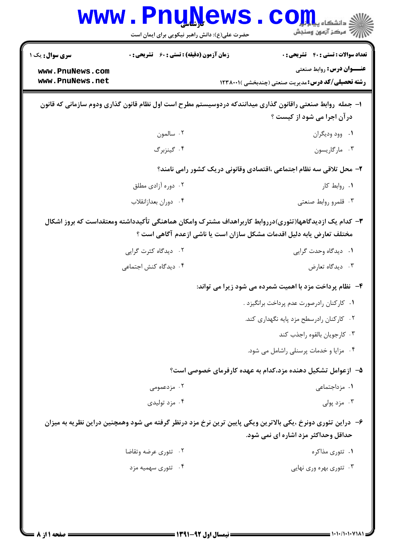|                                                                                                                                                                                 | $\frac{1}{2}$<br>حضرت علی(ع): دانش راهبر نیکویی برای ایمان است | . دانشگاه پی <mark>ا با تو</mark> ر<br>7' مرڪز آزمون وسنڊش                                                                                        |
|---------------------------------------------------------------------------------------------------------------------------------------------------------------------------------|----------------------------------------------------------------|---------------------------------------------------------------------------------------------------------------------------------------------------|
| <b>سری سوال :</b> یک ۱                                                                                                                                                          | <b>زمان آزمون (دقیقه) : تستی : 60 ٪ تشریحی : 0</b>             | <b>تعداد سوالات : تستی : 40 - تشریحی : 0</b>                                                                                                      |
| www.PnuNews.com<br>www.PnuNews.net                                                                                                                                              |                                                                | <b>عنـــوان درس:</b> روابط صنعتي<br><b>رشته تحصیلی/کد درس:</b> مدیریت صنعتی (چندبخشی )۲۳۸۰۰۱                                                      |
|                                                                                                                                                                                 |                                                                | ا– جمله روابط صنعتی راقانون گذاری میدانندکه دردوسیستم مطرح است اول نظام قانون گذاری ودوم سازمانی که قانون<br>درآن اجرا می شود از کیست ؟           |
|                                                                                                                                                                                 | ۰۲ سالمون                                                      | ۰۱ وود وديگران                                                                                                                                    |
|                                                                                                                                                                                 | ۰۴ گینزبرگ                                                     | ۰۳ مارگاریسون                                                                                                                                     |
|                                                                                                                                                                                 |                                                                | ۲- محل تلاقی سه نظام اجتماعی ،اقتصادی وقانونی دریک کشور رامی نامند؟                                                                               |
|                                                                                                                                                                                 | ۰۲ دوره آزادی مطلق                                             | ۰۱ روابط کار                                                                                                                                      |
|                                                                                                                                                                                 | ۰۴ دوران بعدازانقلاب                                           | ۰۳ قلمرو روابط صنعتی                                                                                                                              |
| ۳– کدام یک ازدیدگاهها(تئوری)درروابط کاربراهداف مشترک وامکان هماهنگی تأکیدداشته ومعتقداست که بروز اشکال<br>مختلف تعارض یابه دلیل اقدمات مشکل سازان است یا ناشی ازعدم آگاهی است ؟ |                                                                |                                                                                                                                                   |
|                                                                                                                                                                                 | ۰۲ دیدگاه کثرت گرایی                                           | ۰۱ دیدگاه وحدت گرایی                                                                                                                              |
|                                                                                                                                                                                 | ۰۴ دیدگاه کنش اجتماعی                                          | ۰۳ دیدگاه تعارض                                                                                                                                   |
|                                                                                                                                                                                 |                                                                | ۴-۔ نظام پرداخت مزد با اهمیت شمرده می شود زیرا می تواند:                                                                                          |
|                                                                                                                                                                                 |                                                                | ٠١ كاركنان رادرصورت عدم پرداخت برانگيزد .                                                                                                         |
|                                                                                                                                                                                 |                                                                | ۰۲ کارکنان رادرسطح مزد پایه نگهداری کند.                                                                                                          |
|                                                                                                                                                                                 |                                                                | ٠٣ كارجويان بالقوه راجذب كند                                                                                                                      |
|                                                                                                                                                                                 |                                                                | ۰۴ مزایا و خدمات پرسنلی راشامل می شود.                                                                                                            |
|                                                                                                                                                                                 |                                                                | ۵– ازعوامل تشکیل دهنده مزد،کدام به عهده کارفرمای خصوصی است؟                                                                                       |
|                                                                                                                                                                                 | ۰۲ مزدعمومی                                                    | ۰۱ مزداجتماعی                                                                                                                                     |
|                                                                                                                                                                                 | ۰۴ مزد تولیدی                                                  | ۰۳ مزد پولی                                                                                                                                       |
|                                                                                                                                                                                 |                                                                | ۶– دراین تئوری دونرخ ،یکی بالاترین ویکی پایین ترین نرخ مزد درنظر گرفته می شود وهمچنین دراین نظریه به میزان<br>حداقل وحداکثر مزد اشاره ای نمی شود. |
|                                                                                                                                                                                 | ۰۲ تئوري عرضه وتقاضا                                           | ۰۱ تئوري مذاکره                                                                                                                                   |
|                                                                                                                                                                                 | ۰۴ تئوری سهمیه مزد                                             | ۰۳ تئوری بهره وری نهایی                                                                                                                           |
|                                                                                                                                                                                 |                                                                |                                                                                                                                                   |
|                                                                                                                                                                                 |                                                                |                                                                                                                                                   |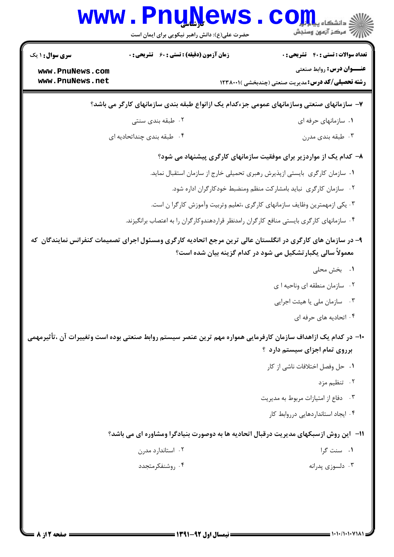|                                                                                                                                                                           | www.PnuNews<br>حضرت علی(ع): دانش راهبر نیکویی برای ایمان است                              | ر<br>ای دانشڪاه پيا <mark>م</mark> طر<br>ا                                                  |  |
|---------------------------------------------------------------------------------------------------------------------------------------------------------------------------|-------------------------------------------------------------------------------------------|---------------------------------------------------------------------------------------------|--|
| <b>سری سوال : ۱ یک</b>                                                                                                                                                    | <b>زمان آزمون (دقیقه) : تستی : 60 ٪ تشریحی : 0</b>                                        | <b>تعداد سوالات : تستی : 40 - تشریحی : 0</b>                                                |  |
| www.PnuNews.com<br>www.PnuNews.net                                                                                                                                        |                                                                                           | <b>عنــوان درس:</b> روابط صنعتي<br><b>رشته تحصیلی/کد درس:</b> مدیریت صنعتی (چندبخشی )۲۳۸۰۰۱ |  |
| ۷– سازمانهای صنعتی وسازمانهای عمومی جزءکدام یک ازانواع طبقه بندی سازمانهای کارگر می باشد؟                                                                                 |                                                                                           |                                                                                             |  |
|                                                                                                                                                                           | ۰۲ طبقه بندی سنتی                                                                         | ۰۱ سازمانهای حرفه ای                                                                        |  |
|                                                                                                                                                                           | ۰۴ طبقه بندی چنداتحادیه ای                                                                | ۰۳ طبقه بندي مدرن                                                                           |  |
| ۸– کدام یک از مواردزیر برای موفقیت سازمانهای کارگری پیشنهاد می شود؟                                                                                                       |                                                                                           |                                                                                             |  |
|                                                                                                                                                                           |                                                                                           | ١. سازمان كارگرى بايستى ازپذيرش رهبرى تحميلى خارج از سازمان استقبال نمايد.                  |  |
|                                                                                                                                                                           |                                                                                           | ۰۲ سازمان کارگری نباید بامشارکت منظم ومنضبط خودکارگران اداره شود.                           |  |
| ۰۳ یکی ازمهمترین وظایف سازمانهای کارگری ،تعلیم وتربیت وأموزش کارگرا ن است.                                                                                                |                                                                                           |                                                                                             |  |
|                                                                                                                                                                           | ۰۴ سازمانهای کارگری بایستی منافع کارگران رامدنظر قراردهندوکارگران را به اعتصاب برانگیزند. |                                                                                             |  |
| ۹- در سازمان های کارگری در انگلستان عالی ترین مرجع اتحادیه کارگری ومسئول اجرای تصمیمات کنفرانس نمایندگان که<br>معمولاً سالی یکبارتشکیل می شود در کدام گزینه بیان شده است؟ |                                                                                           |                                                                                             |  |
|                                                                                                                                                                           |                                                                                           | ۰۱ بخش محلی                                                                                 |  |
|                                                                                                                                                                           |                                                                                           | ۰۲ سازمان منطقه ای وناحیه ا ی                                                               |  |
|                                                                                                                                                                           |                                                                                           | سازمان ملي يا هيئت اجرايي<br>$\cdot$ $\mathsf{r}$                                           |  |
|                                                                                                                                                                           |                                                                                           | ۰۴ اتحادیه های حرفه ای                                                                      |  |
| ∙۱− در کدام یک ازاهداف سازمان کارفرمایی همواره مهم ترین عنصر سیستم روابط صنعتی بوده است وتغییرات آن ،تأثیرمهمی<br>برروی تمام اجزای سیستم دارد ؟                           |                                                                                           |                                                                                             |  |
|                                                                                                                                                                           |                                                                                           | ٠١ حل وفصل اختلافات ناشي از كار                                                             |  |
|                                                                                                                                                                           |                                                                                           | ۰۲ تنظیم مزد                                                                                |  |
|                                                                                                                                                                           |                                                                                           | ۰۳ دفاع از امتیازات مربوط به مدیریت                                                         |  |
|                                                                                                                                                                           |                                                                                           | ۰۴ ایجاد استانداردهایی درروابط کار                                                          |  |
| <b>۱۱</b> - این روش ازسبکهای مدیریت درقبال اتحادیه ها به دوصورت بنیادگرا ومشاوره ای می باشد؟                                                                              |                                                                                           |                                                                                             |  |
|                                                                                                                                                                           | ۰۲ استاندارد مدرن                                                                         | ۰۱ سنت گرا                                                                                  |  |
|                                                                                                                                                                           | ۰۴ روشنفکرمتجدد                                                                           | ۰۳ دلسوزی پدرانه                                                                            |  |
|                                                                                                                                                                           |                                                                                           |                                                                                             |  |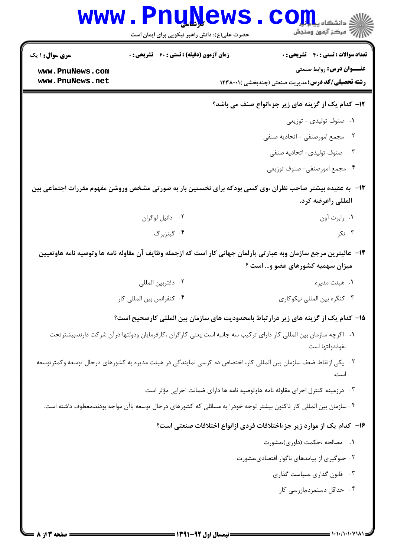## **www.PnuNews.com** .<br>\||// = مرکز آزمون وسنڊش

حضرت علی(ع): دانش راهبر نیکویی برای ایمان است

**تعداد سوالات : تستي : 40 - تشريحي : 0** 

**زمان آزمون (دقیقه) : تستی : 60 ٪ تشریحی : 0** 

**سری سوال :** ۱ یک

**عنــوان درس: روابط صنعتي** 

**رشته تحصیلی/کد درس:**مدیریت صنعتی (چندبخشی )۲۳۸۰۰۱۱

www.PnuNews.com www.PnuNews.net

- ۱۲- کدام یک از گزینه های زیر جزءانواع صنف می باشد؟
	- ٠١ صنوف توليدى توزيعي
	- ٢. مجمع امورصنفي اتحاديه صنفي
	- ۰۳ صنوف تولیدی- اتحادیه صنفی
	- ۰۴ مجمع امورصنفي- صنوف توزيعي
- ۱۳ به عقیده بیشتر صاحب نظران ،وی کسی بودکه برای نخستین بار به صورتی مشخص وروشن مفهوم مقررات اجتماعی بین المللي راعرضه كرد.
	- ۰۲ دانیل لوگران ۰۱ رابرت آون ۰۳ نکر ۰۴ گینزبرگ
	- ۱۴– عالیترین مرجع سازمان وبه عبارتی پارلمان جهانی کار است که ازجمله وظایف آن مقاوله نامه ها وتوصیه نامه هاوتعیین میزان سهمیه کشورهای عضو و… است ؟
		- ٠٢ دفتربين المللي ۰۱ هیئت مدیره ۰۴ کنفرانس بین المللی کار ۰۳ کنگره بین المللی نیکوکاری
		- ۱۵– کدام یک از گزینه های زیر درارتباط بامحدودیت های سازمان بین المللی کارصحیح است؟
		- 1. اگرچه سازمان بین المللی کار دارای ترکیب سه جانبه است یعنی کارگران ،کارفرمایان ودولتها درآن شرکت دارند،بیشترتحت نفوذدولتها است.
	- <sup>۲</sup>۰٪ یکی ازنقاط ضعف سازمان بین المللی کار، اختصاص ده کرسی نمایندگی در هیئت مدیره به کشورهای درحال توسعه وکمترتوسعه است.
		- ۰۳ درزمینه کنترل اجرای مقاوله نامه هاوتوصیه نامه ها دارای ضمانت اجرایی مؤثر است
		- ۰۴ سازمان بین المللی کار تاکنون بیشتر توجه خودرا به مسائلی که کشورهای درحال توسعه باآن مواجه بودند،معطوف داشته است.

## ۱۶– کدام یک از موارد زیر جزءاختلافات فردی ازانواع اختلافات صنعتی است؟

- ۰۱ مصالحه ،حکمت (داوری)،مشورت
- ۰۲ جلوگیری از پیامدهای ناگوار اقتصادی،مشورت
	- ۰۳ قانون گذاری ،سیاست گذاری
		- ۰۴ حداقل دستمزد،بازرسی کار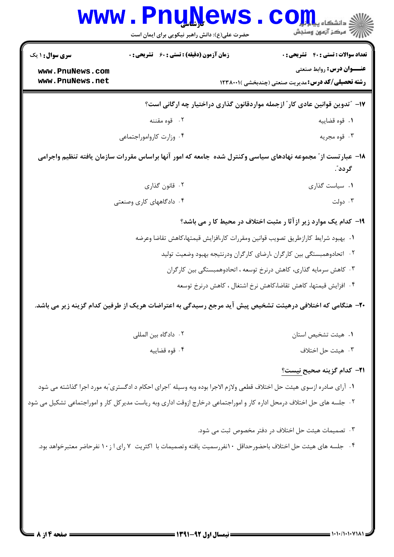| <b>WWW</b>                                                                                                                | <b>TIULY</b><br>حضرت علی(ع): دانش راهبر نیکویی برای ایمان است                     | ي دانشکاه پ <b>یا یا یا</b><br>7' مرڪز آزمون وسنڊش                                                                     |  |
|---------------------------------------------------------------------------------------------------------------------------|-----------------------------------------------------------------------------------|------------------------------------------------------------------------------------------------------------------------|--|
| <b>سری سوال : ۱ یک</b>                                                                                                    | <b>زمان آزمون (دقیقه) : تستی : 60 ٪ تشریحی : 0</b>                                | <b>تعداد سوالات : تستی : 40 گشریحی : 0</b>                                                                             |  |
| www.PnuNews.com<br>www.PnuNews.net                                                                                        |                                                                                   | <b>عنــوان درس: روابط صنعتی</b><br><b>رشته تحصیلی/کد درس:</b> مدیریت صنعتی (چندبخشی )۲۳۸۰۰۱ (                          |  |
| ۱۷– ″تدوین قوانین عادی کار″ ازجمله مواردقانون گذاری دراختیار چه ارگانی است؟                                               |                                                                                   |                                                                                                                        |  |
|                                                                                                                           | ۰۲ قوه مقننه                                                                      | ۰۱ قوه قضاييه                                                                                                          |  |
|                                                                                                                           | ۰۴ وزارت كارواموراجتماعى                                                          | ۰۳ قوه مجريه                                                                                                           |  |
| ۱۸– عبار تست از ً مجموعه نهادهای سیاسی وکنترل شده جامعه که امور آنها براساس مقررات سازمان یافته تنظیم واجرامی<br>گر دد ؒ. |                                                                                   |                                                                                                                        |  |
|                                                                                                                           | ۰۲ قانون گذاری                                                                    | ٠١ سياست گذارى                                                                                                         |  |
|                                                                                                                           | ۰۴ دادگاههای کاری وصنعتی                                                          | ۰۳ دولت                                                                                                                |  |
| ۱۹- کدام یک موارد زیر ازآثا ر مثبت اختلاف در محیط کا ر می باشد؟                                                           |                                                                                   |                                                                                                                        |  |
|                                                                                                                           | ٠١. بهبود شرايط كارازطريق تصويب قوانين ومقررات كار،افزايش قيمتها،كاهش تقاضا وعرضه |                                                                                                                        |  |
|                                                                                                                           |                                                                                   | ۰۲ اتحادوهمبستگی بین کارگران ،ارضای کارگران ودرنتیجه بهبود وضعیت تولید                                                 |  |
|                                                                                                                           |                                                                                   | ۰۳ کاهش سرمایه گذاری، کاهش درنرخ توسعه ، اتحادوهمبستگی بین کارگران                                                     |  |
|                                                                                                                           |                                                                                   | ۰۴ افزایش قیمتها، کاهش تقاضا،کاهش نرخ اشتغال ، کاهش درنرخ توسعه                                                        |  |
|                                                                                                                           |                                                                                   | +۲- هنگامی که اختلافی درهیئت تشخیص پیش آید مرجع رسیدگی به اعتراضات هریک از طرفین کدام گزینه زیر می باشد.               |  |
|                                                                                                                           | ۰۲ دادگاه بین المللی                                                              | ٠١ هيئت تشخيص استان                                                                                                    |  |
|                                                                                                                           | ۰۴ قوه قضاييه                                                                     | ۰۳ هيئت حل اختلاف                                                                                                      |  |
|                                                                                                                           |                                                                                   | <del>۲۱</del> – کدام گزینه صحیح <u>نیست؟</u>                                                                           |  |
|                                                                                                                           |                                                                                   | ۱. آرای صادره ازسوی هیئت حل اختلاف قطعی ولازم الاجرا بوده وبه وسیله ًاجرای احکام د ادگستری ّبه مورد اجرا گذاشته می شود |  |
|                                                                                                                           |                                                                                   | ۰۲ جلسه های حل اختلاف درمحل اداره کار و اموراجتماعی درخارج ازوقت اداری وبه ریاست مدیرکل کار و اموراجتماعی تشکیل می شود |  |
|                                                                                                                           |                                                                                   | ۰۳ تصمیمات هیئت حل اختلاف در دفتر مخصوص ثبت می شود.                                                                    |  |
|                                                                                                                           |                                                                                   | ۰۴ جلسه های هیئت حل اختلاف باحضورحداقل ۱۰نفررسمیت یافته وتصمیمات با اکثریت ۷ رای ا ز ۱۰ نفرحاضر معتبرخواهد بود.        |  |
|                                                                                                                           |                                                                                   |                                                                                                                        |  |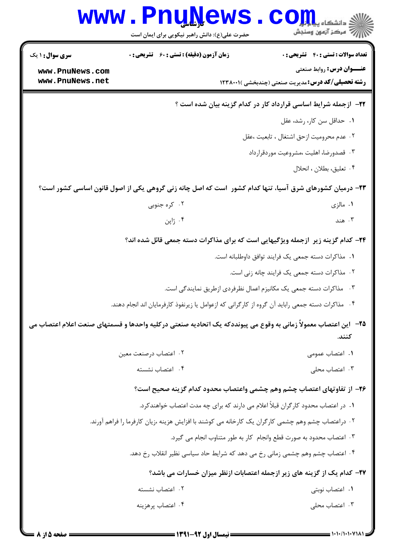|                                                                         | www.PnuNews<br>حضرت علی(ع): دانش راهبر نیکویی برای ایمان است                                                     | ي<br>تح دانشڪاه پ <b>يابلو</b><br>رآ مرکز آزمون وسنجش               |
|-------------------------------------------------------------------------|------------------------------------------------------------------------------------------------------------------|---------------------------------------------------------------------|
| <b>سری سوال : ۱ یک</b>                                                  | <b>زمان آزمون (دقیقه) : تستی : 60 ٪ تشریحی : 0</b>                                                               | تعداد سوالات : تستى : 40 تشريحي : 0                                 |
| www.PnuNews.com                                                         |                                                                                                                  | <b>عنـــوان درس:</b> روابط صنعتي                                    |
| www.PnuNews.net                                                         |                                                                                                                  | <b>رشته تحصیلی/کد درس:</b> مدیریت صنعتی (چندبخشی )۲۳۸۰۰۱۱           |
| <b>۲۲</b> - ازجمله شرایط اساسی قرارداد کار در کدام گزینه بیان شده است ؟ |                                                                                                                  |                                                                     |
|                                                                         |                                                                                                                  | ٠١ حداقل سن كار، رشد، عقل                                           |
|                                                                         |                                                                                                                  | ٠٢ عدم محروميت ازحق اشتغال ، تابعيت ،عقل                            |
|                                                                         |                                                                                                                  | ۰۳ قصدورضا، اهليت ،مشروعيت موردقرارداد                              |
|                                                                         |                                                                                                                  | ۰۴ تعليق، بطلان ، انحلال                                            |
|                                                                         | ۲۳- درمیان کشورهای شرق آسیا، تنها کدام کشور  است که اصل چانه زنی گروهی یکی از اصول قانون اساسی کشور است؟         |                                                                     |
|                                                                         | ۰۲ کره جنوبی                                                                                                     | ۰۱ مالزی                                                            |
|                                                                         | ۰۴ ژاپن                                                                                                          | ۰۳ هند                                                              |
|                                                                         | ۲۴- کدام گزینه زیر آزجمله ویژگیهایی است که برای مذاکرات دسته جمعی قائل شده اند؟                                  |                                                                     |
|                                                                         |                                                                                                                  | ٠١ مذاكرات دسته جمعي يک فرايند توافق داوطلبانه است.                 |
|                                                                         |                                                                                                                  | ۰۲ مذاکرات دسته جمعی یک فرایند چانه زنی است.                        |
|                                                                         |                                                                                                                  | ۰۳ مذاکرات دسته جمعی یک مکانیزم اعمال نظرفردی ازطریق نمایندگی است.  |
|                                                                         | ۰۴ مذاکرات دسته جمعی راباید آن گروه از کارگرانی که ازعوامل یا زیرنفوذ کارفرمایان اند انجام دهند                  |                                                                     |
|                                                                         | ۲۵−   این اعتصاب معمولاً زمانی به وقوع می پیونددکه یک اتحادیه صنعتی درکلیه واحدها و قسمتهای صنعت اعلام اعتصاب می | كنند.                                                               |
|                                                                         | ٢. اعتصاب درصنعت معين                                                                                            | ۰۱ اعتصاب عمومی                                                     |
|                                                                         | ۰۴ اعتصاب نشسته                                                                                                  | ۰۳ اعتصاب محلی                                                      |
|                                                                         | ۲۶- از تفاوتهای اعتصاب چشم وهم چشمی واعتصاب محدود کدام گزینه صحیح است؟                                           |                                                                     |
|                                                                         | ۰۱ در اعتصاب محدود کارگران قبلاً اعلام می دارند که برای چه مدت اعتصاب خواهندکرد.                                 |                                                                     |
|                                                                         | ۰۲ دراعتصاب چشم وهم چشمی کارگران یک کارخانه می کوشند با افزایش هزینه ،زیان کارفرما را فراهم آورند.               |                                                                     |
|                                                                         |                                                                                                                  | ٠٣ اعتصاب محدود به صورت قطع وانجام كار به طور متناوب انجام مي گيرد. |
|                                                                         | ۰۴ اعتصاب چشم وهم چشمی زمانی رخ می دهد که شرایط حاد سیاسی نظیر انقلاب رخ دهد.                                    |                                                                     |
|                                                                         | ٢٧- كدام يك از گزينه هاي زير ازجمله اعتصابات ازنظر ميزان خسارات مي باشد؟                                         |                                                                     |
|                                                                         | ۰۲ اعتصاب نشسته                                                                                                  | ۰۱ اعتصاب نوبتی                                                     |
|                                                                         | ۰۴ اعتصاب پرهزينه                                                                                                | ۰۳ اعتصاب محلی                                                      |
|                                                                         |                                                                                                                  |                                                                     |

 $= 1.1 - (1.1 - Y)$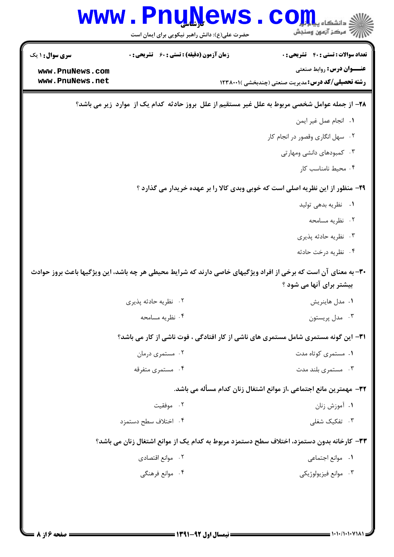|                                    | www.PnuNews<br>حضرت علی(ع): دانش راهبر نیکویی برای ایمان است | الا دانشگاه پیام بار<br>از مرکز آزمون وسنجش                                                                                                 |
|------------------------------------|--------------------------------------------------------------|---------------------------------------------------------------------------------------------------------------------------------------------|
| <b>سری سوال : ۱ یک</b>             | <b>زمان آزمون (دقیقه) : تستی : 60 ٪ تشریحی : 0</b>           | <b>تعداد سوالات : تستی : 40 قشریحی : 0</b>                                                                                                  |
| www.PnuNews.com<br>www.PnuNews.net |                                                              | <b>عنــوان درس: روابط صنعتی</b><br><b>رشته تحصیلی/کد درس:</b> مدیریت صنعتی (چندبخشی )۲۳۸۰۰۱                                                 |
|                                    |                                                              |                                                                                                                                             |
|                                    |                                                              | ۲۸– از جمله عوامل شخصی مربوط به علل غیر مستقیم از علل بروز حادثه کدام یک از  موارد  زیر می باشد؟                                            |
|                                    |                                                              | ٠١. انجام عمل غير ايمن                                                                                                                      |
|                                    |                                                              | ۰۲ سهل انگاری وقصور در انجام کار<br>۰۳ کمبودهای دانشی ومهارتی                                                                               |
|                                    |                                                              | ۰۴ محیط نامناسب کار                                                                                                                         |
|                                    |                                                              |                                                                                                                                             |
|                                    |                                                              | ۲۹- منظور از این نظریه اصلی است که خوبی وبدی کالا را بر عهده خریدار می گذارد ؟                                                              |
|                                    |                                                              | ۰۱ نظریه بدهی تولید                                                                                                                         |
|                                    |                                                              | ۰۲ نظریه مسامحه                                                                                                                             |
|                                    |                                                              | ۰۳ نظریه حادثه پذیری<br>۰۴ نظریه درخت حادثه                                                                                                 |
|                                    |                                                              | ۳۰- به معنای آن است که برخی از افراد ویژگیهای خاصی دارند که شرایط محیطی هر چه باشد، این ویژگیها باعث بروز حوادث<br>بیشتر برای آنها می شود ؟ |
|                                    | ۰۲ نظریه حادثه پذیری                                         | ۰۱ مدل هاینریش                                                                                                                              |
|                                    | ۰۴ نظریه مسامحه                                              | ۰۳ مدل پریستون                                                                                                                              |
|                                    |                                                              | <b>۳۱</b> - این گونه مستمری شامل مستمری های ناشی از کار افتادگی ، فوت ناشی از کار می باشد؟                                                  |
|                                    | ۰۲ مستمری درمان                                              | ۰۱ مستمری کوتاه مدت                                                                                                                         |
|                                    | ۰۴ مستمری متفرقه                                             | ۰۳ مستمری بلند مدت                                                                                                                          |
|                                    |                                                              | ٣٢- مهمترين مانع اجتماعي ،از موانع اشتغال زنان كدام مسأله مي باشد.                                                                          |
|                                    | ۰۲ موفقیت                                                    | ۰۱ آموزش زنان                                                                                                                               |
|                                    | ۰۴ اختلاف سطح دستمزد                                         | ۰۳ تفکیک شغلی                                                                                                                               |
|                                    |                                                              | ۳۳– کارخانه بدون دستمزد، اختلاف سطح دستمزد مربوط به کدام یک از موانع اشتغال زنان می باشد؟                                                   |
|                                    | ٢. موانع اقتصادي                                             | ٠١. موانع اجتماعي                                                                                                                           |
|                                    | ۰۴ موانع فرهنگی                                              | ۰۳ موانع فيزيولوژيكي                                                                                                                        |
|                                    |                                                              |                                                                                                                                             |
|                                    |                                                              |                                                                                                                                             |
|                                    |                                                              |                                                                                                                                             |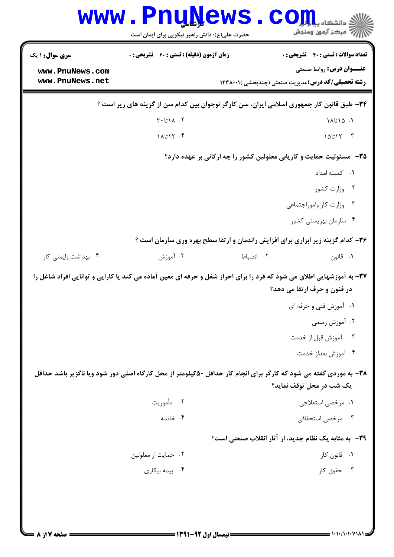|                        | <b>WWW.FNUWGWS</b><br>حضرت علی(ع): دانش راهبر نیکویی برای ایمان است |           | د دانشکاه پ <b>یا پایان</b><br>رِ آزمون وسنجش                                                                                                       |
|------------------------|---------------------------------------------------------------------|-----------|-----------------------------------------------------------------------------------------------------------------------------------------------------|
| <b>سری سوال : ۱ یک</b> | <b>زمان آزمون (دقیقه) : تستی : 60 ٪ تشریحی : 0</b>                  |           | <b>تعداد سوالات : تستی : 40 - تشریحی : 0</b>                                                                                                        |
| www.PnuNews.com        |                                                                     |           | <b>عنــوان درس:</b> روابط صنعتي                                                                                                                     |
| www.PnuNews.net        |                                                                     |           | <b>رشته تحصیلی/کد درس:</b> مدیریت صنعتی (چندبخشی )۲۳۸۰۰۱ (                                                                                          |
|                        |                                                                     |           | ۳۴- طبق قانون کار جمهوری اسلامی ایران، سن کارگر نوجوان بین کدام سن از گزینه های زیر است ؟                                                           |
|                        | $Y \cdot L \setminus \wedge \cdot Y$                                |           | ۰۱ ۱۵٬تا۱۸                                                                                                                                          |
|                        | ۰۴ ۱۸تا۱۸                                                           |           | $10517 - T$                                                                                                                                         |
|                        |                                                                     |           | ۳۵– مسئولیت حمایت و کاریابی معلولین کشور را چه ارگانی بر عهده دارد؟                                                                                 |
|                        |                                                                     |           | ٠١. كميته امداد                                                                                                                                     |
|                        |                                                                     |           | ۰۲ وزارت کشور                                                                                                                                       |
|                        |                                                                     |           | ۰۳ وزارت کار واموراجتماعی                                                                                                                           |
|                        |                                                                     |           | ۰۴ سازمان بهزیستی کشور                                                                                                                              |
|                        |                                                                     |           | ۳۶- کدام گزینه زیر ابزاری برای افزایش راندمان و ارتقا سطح بهره وری سازمان است ؟                                                                     |
| ۰۴ بهداشت وایمنی کار   | ۰۳ آموزش                                                            | ۰۲ انضباط | ۰۱ قانون                                                                                                                                            |
|                        |                                                                     |           | ۳۷- به آموزشهایی اطلاق می شود که فرد را برای احراز شغل و حرفه ای معین آماده می کند یا کارایی و توانایی افراد شاغل را<br>در فنون و حرف ارتقا می دهد؟ |
|                        |                                                                     |           | ۰۱ آموزش فنی و حرفه ای                                                                                                                              |
|                        |                                                                     |           | ۰۲ آموزش رسمی                                                                                                                                       |
|                        |                                                                     |           | ۰۳ آموزش قبل از خدمت                                                                                                                                |
|                        |                                                                     |           | ۰۴ آموزش بعداز خدمت                                                                                                                                 |
|                        |                                                                     |           | ۳۸- به موردی گفته می شود که کارگر برای انجام کار حداقل ۵۰کیلومتر از محل کارگاه اصلی دور شود ویا ناگزیر باشد حداقل<br>یک شب در محل توقف نماید؟       |
|                        | ۰۲ مأموريت                                                          |           | ۰۱ مرخصي استعلاجي                                                                                                                                   |
|                        | ۰۴ خاتمه                                                            |           | ۰۳ مرخصی استحقاقی                                                                                                                                   |
|                        |                                                                     |           | ۳۹- به مثابه یک نظام جدید، از آثار انقلاب صنعتی است؟                                                                                                |
|                        | ۰۲ حمایت از معلولین                                                 |           | ۰۱ قانون کار                                                                                                                                        |
|                        | ۰۴ بیمه بیکاری                                                      |           | ۰۳ حقوق کار                                                                                                                                         |
|                        |                                                                     |           |                                                                                                                                                     |